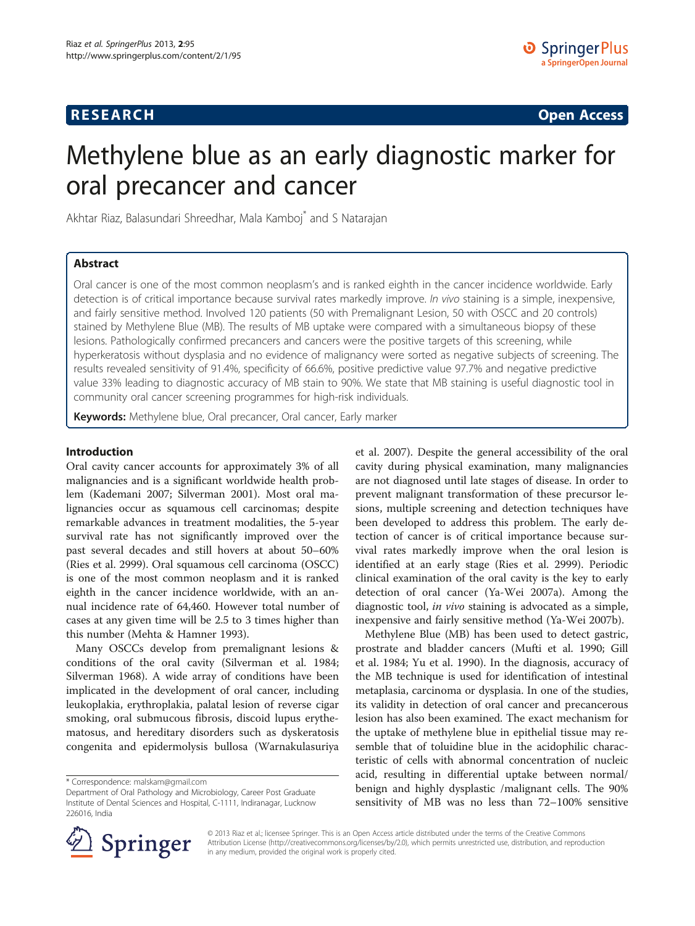# **RESEARCH CHINESE ARCH CHINESE ARCH CHINESE ARCH <b>CHINESE ARCH**

# Methylene blue as an early diagnostic marker for oral precancer and cancer

Akhtar Riaz, Balasundari Shreedhar, Mala Kamboj<sup>\*</sup> and S Natarajan

## Abstract

Oral cancer is one of the most common neoplasm's and is ranked eighth in the cancer incidence worldwide. Early detection is of critical importance because survival rates markedly improve. In vivo staining is a simple, inexpensive, and fairly sensitive method. Involved 120 patients (50 with Premalignant Lesion, 50 with OSCC and 20 controls) stained by Methylene Blue (MB). The results of MB uptake were compared with a simultaneous biopsy of these lesions. Pathologically confirmed precancers and cancers were the positive targets of this screening, while hyperkeratosis without dysplasia and no evidence of malignancy were sorted as negative subjects of screening. The results revealed sensitivity of 91.4%, specificity of 66.6%, positive predictive value 97.7% and negative predictive value 33% leading to diagnostic accuracy of MB stain to 90%. We state that MB staining is useful diagnostic tool in community oral cancer screening programmes for high-risk individuals.

Keywords: Methylene blue, Oral precancer, Oral cancer, Early marker

### Introduction

Oral cavity cancer accounts for approximately 3% of all malignancies and is a significant worldwide health problem (Kademani [2007](#page-5-0); Silverman [2001\)](#page-5-0). Most oral malignancies occur as squamous cell carcinomas; despite remarkable advances in treatment modalities, the 5-year survival rate has not significantly improved over the past several decades and still hovers at about 50–60% (Ries et al. [2999\)](#page-5-0). Oral squamous cell carcinoma (OSCC) is one of the most common neoplasm and it is ranked eighth in the cancer incidence worldwide, with an annual incidence rate of 64,460. However total number of cases at any given time will be 2.5 to 3 times higher than this number (Mehta & Hamner [1993](#page-5-0)).

Many OSCCs develop from premalignant lesions & conditions of the oral cavity (Silverman et al. [1984](#page-5-0); Silverman [1968](#page-5-0)). A wide array of conditions have been implicated in the development of oral cancer, including leukoplakia, erythroplakia, palatal lesion of reverse cigar smoking, oral submucous fibrosis, discoid lupus erythematosus, and hereditary disorders such as dyskeratosis congenita and epidermolysis bullosa (Warnakulasuriya

et al. [2007\)](#page-5-0). Despite the general accessibility of the oral cavity during physical examination, many malignancies are not diagnosed until late stages of disease. In order to prevent malignant transformation of these precursor lesions, multiple screening and detection techniques have been developed to address this problem. The early detection of cancer is of critical importance because survival rates markedly improve when the oral lesion is identified at an early stage (Ries et al. [2999\)](#page-5-0). Periodic clinical examination of the oral cavity is the key to early detection of oral cancer (Ya-Wei [2007a\)](#page-5-0). Among the diagnostic tool, in vivo staining is advocated as a simple, inexpensive and fairly sensitive method (Ya-Wei [2007b\)](#page-6-0).

Methylene Blue (MB) has been used to detect gastric, prostrate and bladder cancers (Mufti et al. [1990](#page-5-0); Gill et al. [1984;](#page-5-0) Yu et al. [1990](#page-6-0)). In the diagnosis, accuracy of the MB technique is used for identification of intestinal metaplasia, carcinoma or dysplasia. In one of the studies, its validity in detection of oral cancer and precancerous lesion has also been examined. The exact mechanism for the uptake of methylene blue in epithelial tissue may resemble that of toluidine blue in the acidophilic characteristic of cells with abnormal concentration of nucleic acid, resulting in differential uptake between normal/ benign and highly dysplastic /malignant cells. The 90% sensitivity of MB was no less than 72–100% sensitive



© 2013 Riaz et al.; licensee Springer. This is an Open Access article distributed under the terms of the Creative Commons Attribution License [\(http://creativecommons.org/licenses/by/2.0\)](http://creativecommons.org/licenses/by/2.0), which permits unrestricted use, distribution, and reproduction in any medium, provided the original work is properly cited.

<sup>\*</sup> Correspondence: [malskam@gmail.com](mailto:malskam@gmail.com)

Department of Oral Pathology and Microbiology, Career Post Graduate Institute of Dental Sciences and Hospital, C-1111, Indiranagar, Lucknow 226016, India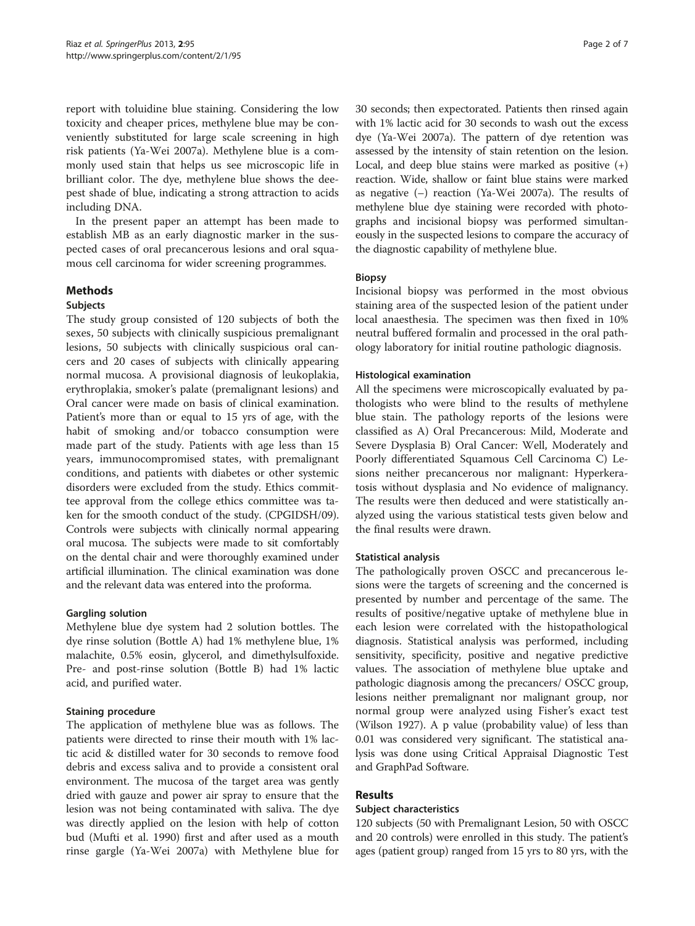report with toluidine blue staining. Considering the low toxicity and cheaper prices, methylene blue may be conveniently substituted for large scale screening in high risk patients (Ya-Wei [2007a](#page-5-0)). Methylene blue is a commonly used stain that helps us see microscopic life in brilliant color. The dye, methylene blue shows the deepest shade of blue, indicating a strong attraction to acids including DNA.

In the present paper an attempt has been made to establish MB as an early diagnostic marker in the suspected cases of oral precancerous lesions and oral squamous cell carcinoma for wider screening programmes.

## Methods

### Subjects

The study group consisted of 120 subjects of both the sexes, 50 subjects with clinically suspicious premalignant lesions, 50 subjects with clinically suspicious oral cancers and 20 cases of subjects with clinically appearing normal mucosa. A provisional diagnosis of leukoplakia, erythroplakia, smoker's palate (premalignant lesions) and Oral cancer were made on basis of clinical examination. Patient's more than or equal to 15 yrs of age, with the habit of smoking and/or tobacco consumption were made part of the study. Patients with age less than 15 years, immunocompromised states, with premalignant conditions, and patients with diabetes or other systemic disorders were excluded from the study. Ethics committee approval from the college ethics committee was taken for the smooth conduct of the study. (CPGIDSH/09). Controls were subjects with clinically normal appearing oral mucosa. The subjects were made to sit comfortably on the dental chair and were thoroughly examined under artificial illumination. The clinical examination was done and the relevant data was entered into the proforma.

### Gargling solution

Methylene blue dye system had 2 solution bottles. The dye rinse solution (Bottle A) had 1% methylene blue, 1% malachite, 0.5% eosin, glycerol, and dimethylsulfoxide. Pre- and post-rinse solution (Bottle B) had 1% lactic acid, and purified water.

### Staining procedure

The application of methylene blue was as follows. The patients were directed to rinse their mouth with 1% lactic acid & distilled water for 30 seconds to remove food debris and excess saliva and to provide a consistent oral environment. The mucosa of the target area was gently dried with gauze and power air spray to ensure that the lesion was not being contaminated with saliva. The dye was directly applied on the lesion with help of cotton bud (Mufti et al. [1990\)](#page-5-0) first and after used as a mouth rinse gargle (Ya-Wei [2007a](#page-5-0)) with Methylene blue for 30 seconds; then expectorated. Patients then rinsed again with 1% lactic acid for 30 seconds to wash out the excess dye (Ya-Wei [2007a](#page-5-0)). The pattern of dye retention was assessed by the intensity of stain retention on the lesion. Local, and deep blue stains were marked as positive (+) reaction. Wide, shallow or faint blue stains were marked as negative (–) reaction (Ya-Wei [2007a\)](#page-5-0). The results of methylene blue dye staining were recorded with photographs and incisional biopsy was performed simultaneously in the suspected lesions to compare the accuracy of the diagnostic capability of methylene blue.

## Biopsy

Incisional biopsy was performed in the most obvious staining area of the suspected lesion of the patient under local anaesthesia. The specimen was then fixed in 10% neutral buffered formalin and processed in the oral pathology laboratory for initial routine pathologic diagnosis.

## Histological examination

All the specimens were microscopically evaluated by pathologists who were blind to the results of methylene blue stain. The pathology reports of the lesions were classified as A) Oral Precancerous: Mild, Moderate and Severe Dysplasia B) Oral Cancer: Well, Moderately and Poorly differentiated Squamous Cell Carcinoma C) Lesions neither precancerous nor malignant: Hyperkeratosis without dysplasia and No evidence of malignancy. The results were then deduced and were statistically analyzed using the various statistical tests given below and the final results were drawn.

### Statistical analysis

The pathologically proven OSCC and precancerous lesions were the targets of screening and the concerned is presented by number and percentage of the same. The results of positive/negative uptake of methylene blue in each lesion were correlated with the histopathological diagnosis. Statistical analysis was performed, including sensitivity, specificity, positive and negative predictive values. The association of methylene blue uptake and pathologic diagnosis among the precancers/ OSCC group, lesions neither premalignant nor malignant group, nor normal group were analyzed using Fisher's exact test (Wilson [1927\)](#page-5-0). A p value (probability value) of less than 0.01 was considered very significant. The statistical analysis was done using Critical Appraisal Diagnostic Test and GraphPad Software.

## Results

### Subject characteristics

120 subjects (50 with Premalignant Lesion, 50 with OSCC and 20 controls) were enrolled in this study. The patient's ages (patient group) ranged from 15 yrs to 80 yrs, with the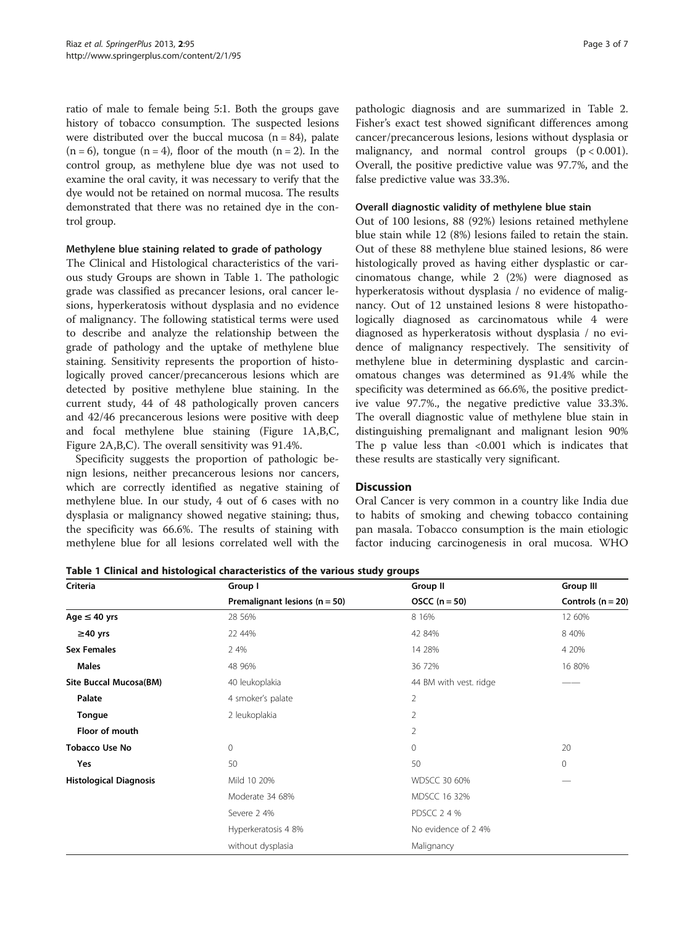ratio of male to female being 5:1. Both the groups gave history of tobacco consumption. The suspected lesions were distributed over the buccal mucosa  $(n = 84)$ , palate  $(n = 6)$ , tongue  $(n = 4)$ , floor of the mouth  $(n = 2)$ . In the control group, as methylene blue dye was not used to examine the oral cavity, it was necessary to verify that the dye would not be retained on normal mucosa. The results demonstrated that there was no retained dye in the control group.

### Methylene blue staining related to grade of pathology

The Clinical and Histological characteristics of the various study Groups are shown in Table 1. The pathologic grade was classified as precancer lesions, oral cancer lesions, hyperkeratosis without dysplasia and no evidence of malignancy. The following statistical terms were used to describe and analyze the relationship between the grade of pathology and the uptake of methylene blue staining. Sensitivity represents the proportion of histologically proved cancer/precancerous lesions which are detected by positive methylene blue staining. In the current study, 44 of 48 pathologically proven cancers and 42/46 precancerous lesions were positive with deep and focal methylene blue staining (Figure [1](#page-3-0)A,B,C, Figure [2](#page-3-0)A,B,C). The overall sensitivity was 91.4%.

Specificity suggests the proportion of pathologic benign lesions, neither precancerous lesions nor cancers, which are correctly identified as negative staining of methylene blue. In our study, 4 out of 6 cases with no dysplasia or malignancy showed negative staining; thus, the specificity was 66.6%. The results of staining with methylene blue for all lesions correlated well with the

pathologic diagnosis and are summarized in Table [2](#page-4-0). Fisher's exact test showed significant differences among cancer/precancerous lesions, lesions without dysplasia or malignancy, and normal control groups  $(p < 0.001)$ . Overall, the positive predictive value was 97.7%, and the false predictive value was 33.3%.

#### Overall diagnostic validity of methylene blue stain

Out of 100 lesions, 88 (92%) lesions retained methylene blue stain while 12 (8%) lesions failed to retain the stain. Out of these 88 methylene blue stained lesions, 86 were histologically proved as having either dysplastic or carcinomatous change, while 2 (2%) were diagnosed as hyperkeratosis without dysplasia / no evidence of malignancy. Out of 12 unstained lesions 8 were histopathologically diagnosed as carcinomatous while 4 were diagnosed as hyperkeratosis without dysplasia / no evidence of malignancy respectively. The sensitivity of methylene blue in determining dysplastic and carcinomatous changes was determined as 91.4% while the specificity was determined as 66.6%, the positive predictive value 97.7%., the negative predictive value 33.3%. The overall diagnostic value of methylene blue stain in distinguishing premalignant and malignant lesion 90% The p value less than <0.001 which is indicates that these results are stastically very significant.

### **Discussion**

Oral Cancer is very common in a country like India due to habits of smoking and chewing tobacco containing pan masala. Tobacco consumption is the main etiologic factor inducing carcinogenesis in oral mucosa. WHO

Table 1 Clinical and histological characteristics of the various study groups

| Criteria                      | Group I                           | Group II               | Group III           |  |
|-------------------------------|-----------------------------------|------------------------|---------------------|--|
|                               | Premalignant lesions ( $n = 50$ ) | $OSCC (n = 50)$        | Controls $(n = 20)$ |  |
| Age $\leq$ 40 yrs             | 28 56%                            | 8 1 6 %                | 12 60%              |  |
| $\geq$ 40 yrs                 | 22 44%                            | 42 84%                 | 8 40%               |  |
| <b>Sex Females</b>            | 2 4%                              | 14 28%                 | 4 20%               |  |
| <b>Males</b>                  | 48 96%                            | 36 72%                 | 16 80%              |  |
| <b>Site Buccal Mucosa(BM)</b> | 40 leukoplakia                    | 44 BM with vest. ridge |                     |  |
| Palate                        | 4 smoker's palate                 | $\overline{2}$         |                     |  |
| Tongue                        | 2 leukoplakia                     | $\overline{2}$         |                     |  |
| Floor of mouth                |                                   | $\overline{2}$         |                     |  |
| <b>Tobacco Use No</b>         | 0                                 | $\mathbf{0}$           | 20                  |  |
| Yes                           | 50                                | 50                     | 0                   |  |
| <b>Histological Diagnosis</b> | Mild 10 20%                       | WDSCC 30 60%           |                     |  |
|                               | Moderate 34 68%                   | MDSCC 16 32%           |                     |  |
|                               | Severe 2 4%                       | PDSCC 24%              |                     |  |
|                               | Hyperkeratosis 4 8%               | No evidence of 2 4%    |                     |  |
|                               | without dysplasia                 | Malignancy             |                     |  |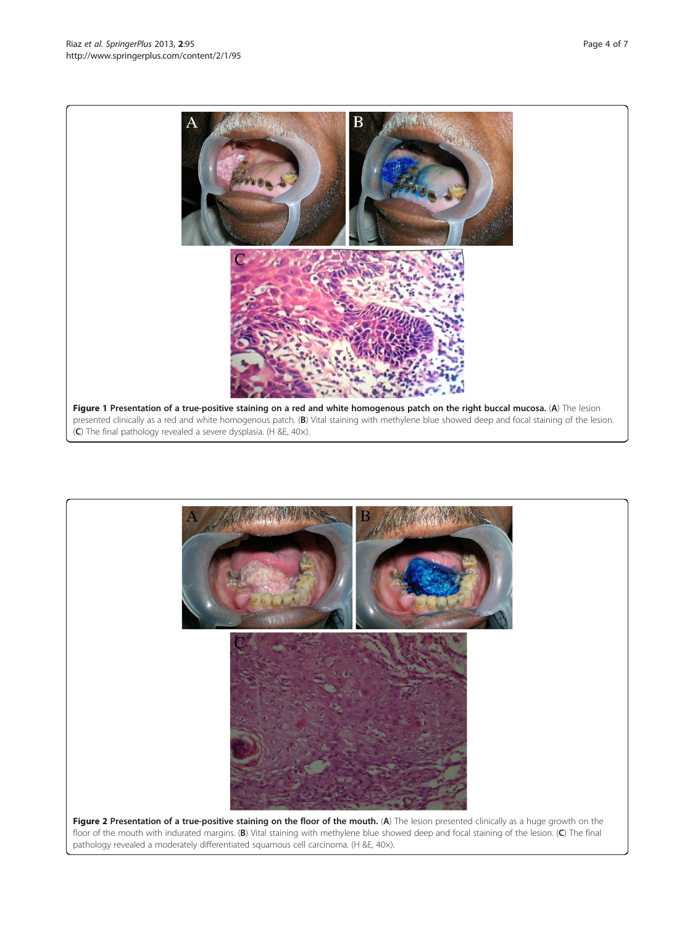<span id="page-3-0"></span>

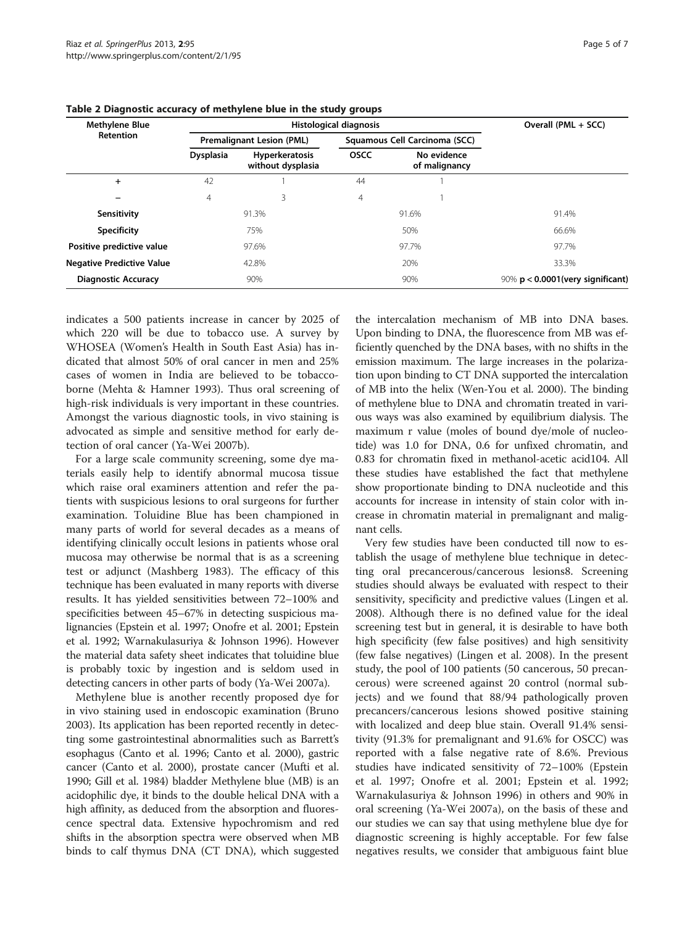| <b>Methylene Blue</b><br>Retention | <b>Histological diagnosis</b>    |                                            |                               |                              | Overall (PML + SCC)                 |
|------------------------------------|----------------------------------|--------------------------------------------|-------------------------------|------------------------------|-------------------------------------|
|                                    | <b>Premalignant Lesion (PML)</b> |                                            | Squamous Cell Carcinoma (SCC) |                              |                                     |
|                                    | <b>Dysplasia</b>                 | <b>Hyperkeratosis</b><br>without dysplasia | <b>OSCC</b>                   | No evidence<br>of malignancy |                                     |
| $\ddot{}$                          | 42                               |                                            | 44                            |                              |                                     |
|                                    | $\overline{4}$                   | 3                                          | $\overline{4}$                |                              |                                     |
| Sensitivity                        |                                  | 91.3%                                      |                               | 91.6%                        | 91.4%                               |
| <b>Specificity</b>                 |                                  | 75%                                        |                               | 50%                          | 66.6%                               |
| Positive predictive value          |                                  | 97.6%                                      |                               | 97.7%                        | 97.7%                               |
| <b>Negative Predictive Value</b>   |                                  | 42.8%                                      |                               | 20%                          | 33.3%                               |
| <b>Diagnostic Accuracy</b>         |                                  | 90%                                        |                               | 90%                          | $90\%$ p < 0.0001(very significant) |

<span id="page-4-0"></span>Table 2 Diagnostic accuracy of methylene blue in the study groups

indicates a 500 patients increase in cancer by 2025 of which 220 will be due to tobacco use. A survey by WHOSEA (Women's Health in South East Asia) has indicated that almost 50% of oral cancer in men and 25% cases of women in India are believed to be tobaccoborne (Mehta & Hamner [1993](#page-5-0)). Thus oral screening of high-risk individuals is very important in these countries. Amongst the various diagnostic tools, in vivo staining is advocated as simple and sensitive method for early detection of oral cancer (Ya-Wei [2007b\)](#page-6-0).

For a large scale community screening, some dye materials easily help to identify abnormal mucosa tissue which raise oral examiners attention and refer the patients with suspicious lesions to oral surgeons for further examination. Toluidine Blue has been championed in many parts of world for several decades as a means of identifying clinically occult lesions in patients whose oral mucosa may otherwise be normal that is as a screening test or adjunct (Mashberg [1983\)](#page-5-0). The efficacy of this technique has been evaluated in many reports with diverse results. It has yielded sensitivities between 72–100% and specificities between 45–67% in detecting suspicious malignancies (Epstein et al. [1997;](#page-5-0) Onofre et al. [2001;](#page-5-0) Epstein et al. [1992](#page-5-0); Warnakulasuriya & Johnson [1996](#page-5-0)). However the material data safety sheet indicates that toluidine blue is probably toxic by ingestion and is seldom used in detecting cancers in other parts of body (Ya-Wei [2007a\)](#page-5-0).

Methylene blue is another recently proposed dye for in vivo staining used in endoscopic examination (Bruno [2003](#page-5-0)). Its application has been reported recently in detecting some gastrointestinal abnormalities such as Barrett's esophagus (Canto et al. [1996;](#page-5-0) Canto et al. [2000](#page-5-0)), gastric cancer (Canto et al. [2000](#page-5-0)), prostate cancer (Mufti et al. [1990;](#page-5-0) Gill et al. [1984](#page-5-0)) bladder Methylene blue (MB) is an acidophilic dye, it binds to the double helical DNA with a high affinity, as deduced from the absorption and fluorescence spectral data. Extensive hypochromism and red shifts in the absorption spectra were observed when MB binds to calf thymus DNA (CT DNA), which suggested

the intercalation mechanism of MB into DNA bases. Upon binding to DNA, the fluorescence from MB was efficiently quenched by the DNA bases, with no shifts in the emission maximum. The large increases in the polarization upon binding to CT DNA supported the intercalation of MB into the helix (Wen-You et al. [2000](#page-5-0)). The binding of methylene blue to DNA and chromatin treated in various ways was also examined by equilibrium dialysis. The maximum r value (moles of bound dye/mole of nucleotide) was 1.0 for DNA, 0.6 for unfixed chromatin, and 0.83 for chromatin fixed in methanol-acetic acid104. All these studies have established the fact that methylene show proportionate binding to DNA nucleotide and this accounts for increase in intensity of stain color with increase in chromatin material in premalignant and malignant cells.

Very few studies have been conducted till now to establish the usage of methylene blue technique in detecting oral precancerous/cancerous lesions8. Screening studies should always be evaluated with respect to their sensitivity, specificity and predictive values (Lingen et al. [2008](#page-5-0)). Although there is no defined value for the ideal screening test but in general, it is desirable to have both high specificity (few false positives) and high sensitivity (few false negatives) (Lingen et al. [2008](#page-5-0)). In the present study, the pool of 100 patients (50 cancerous, 50 precancerous) were screened against 20 control (normal subjects) and we found that 88/94 pathologically proven precancers/cancerous lesions showed positive staining with localized and deep blue stain. Overall 91.4% sensitivity (91.3% for premalignant and 91.6% for OSCC) was reported with a false negative rate of 8.6%. Previous studies have indicated sensitivity of 72–100% (Epstein et al. [1997;](#page-5-0) Onofre et al. [2001](#page-5-0); Epstein et al. [1992](#page-5-0); Warnakulasuriya & Johnson [1996\)](#page-5-0) in others and 90% in oral screening (Ya-Wei [2007a\)](#page-5-0), on the basis of these and our studies we can say that using methylene blue dye for diagnostic screening is highly acceptable. For few false negatives results, we consider that ambiguous faint blue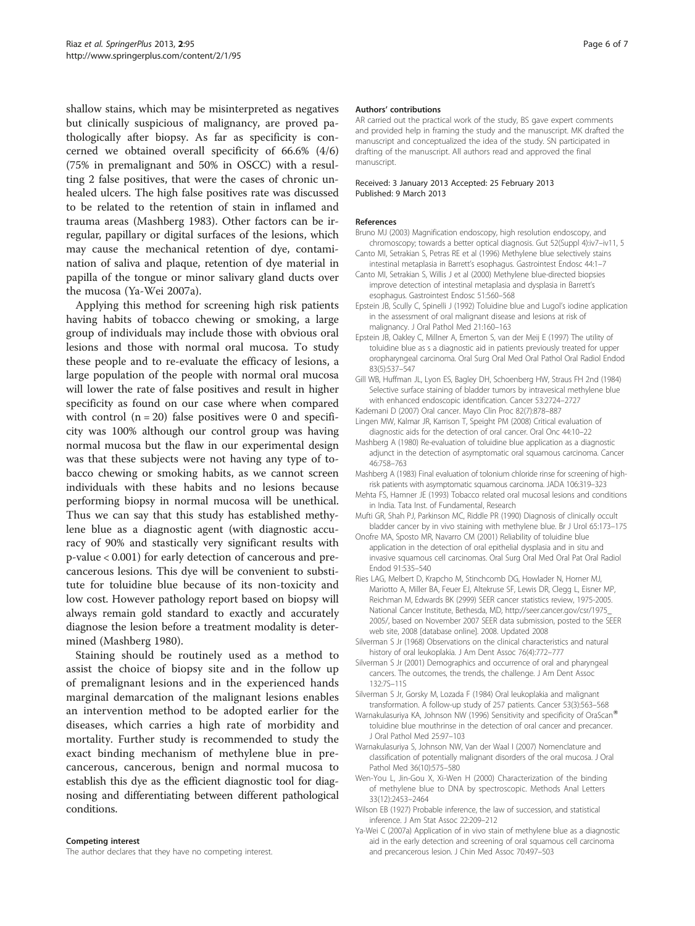<span id="page-5-0"></span>shallow stains, which may be misinterpreted as negatives but clinically suspicious of malignancy, are proved pathologically after biopsy. As far as specificity is concerned we obtained overall specificity of 66.6% (4/6) (75% in premalignant and 50% in OSCC) with a resulting 2 false positives, that were the cases of chronic unhealed ulcers. The high false positives rate was discussed to be related to the retention of stain in inflamed and trauma areas (Mashberg 1983). Other factors can be irregular, papillary or digital surfaces of the lesions, which may cause the mechanical retention of dye, contamination of saliva and plaque, retention of dye material in papilla of the tongue or minor salivary gland ducts over the mucosa (Ya-Wei 2007a).

Applying this method for screening high risk patients having habits of tobacco chewing or smoking, a large group of individuals may include those with obvious oral lesions and those with normal oral mucosa. To study these people and to re-evaluate the efficacy of lesions, a large population of the people with normal oral mucosa will lower the rate of false positives and result in higher specificity as found on our case where when compared with control  $(n = 20)$  false positives were 0 and specificity was 100% although our control group was having normal mucosa but the flaw in our experimental design was that these subjects were not having any type of tobacco chewing or smoking habits, as we cannot screen individuals with these habits and no lesions because performing biopsy in normal mucosa will be unethical. Thus we can say that this study has established methylene blue as a diagnostic agent (with diagnostic accuracy of 90% and stastically very significant results with p-value < 0.001) for early detection of cancerous and precancerous lesions. This dye will be convenient to substitute for toluidine blue because of its non-toxicity and low cost. However pathology report based on biopsy will always remain gold standard to exactly and accurately diagnose the lesion before a treatment modality is determined (Mashberg 1980).

Staining should be routinely used as a method to assist the choice of biopsy site and in the follow up of premalignant lesions and in the experienced hands marginal demarcation of the malignant lesions enables an intervention method to be adopted earlier for the diseases, which carries a high rate of morbidity and mortality. Further study is recommended to study the exact binding mechanism of methylene blue in precancerous, cancerous, benign and normal mucosa to establish this dye as the efficient diagnostic tool for diagnosing and differentiating between different pathological conditions.

#### Competing interest

The author declares that they have no competing interest.

#### Authors' contributions

AR carried out the practical work of the study, BS gave expert comments and provided help in framing the study and the manuscript. MK drafted the manuscript and conceptualized the idea of the study. SN participated in drafting of the manuscript. All authors read and approved the final manuscript.

#### Received: 3 January 2013 Accepted: 25 February 2013 Published: 9 March 2013

#### References

- Bruno MJ (2003) Magnification endoscopy, high resolution endoscopy, and chromoscopy; towards a better optical diagnosis. Gut 52(Suppl 4):iv7–iv11, 5
- Canto MI, Setrakian S, Petras RE et al (1996) Methylene blue selectively stains intestinal metaplasia in Barrett's esophagus. Gastrointest Endosc 44:1–7
- Canto MI, Setrakian S, Willis J et al (2000) Methylene blue-directed biopsies improve detection of intestinal metaplasia and dysplasia in Barrett's esophagus. Gastrointest Endosc 51:560–568
- Epstein JB, Scully C, Spinelli J (1992) Toluidine blue and Lugol's iodine application in the assessment of oral malignant disease and lesions at risk of malignancy. J Oral Pathol Med 21:160–163
- Epstein JB, Oakley C, Millner A, Emerton S, van der Meij E (1997) The utility of toluidine blue as s a diagnostic aid in patients previously treated for upper oropharyngeal carcinoma. Oral Surg Oral Med Oral Pathol Oral Radiol Endod 83(5):537–547
- Gill WB, Huffman JL, Lyon ES, Bagley DH, Schoenberg HW, Straus FH 2nd (1984) Selective surface staining of bladder tumors by intravesical methylene blue with enhanced endoscopic identification. Cancer 53:2724–2727 Kademani D (2007) Oral cancer. Mayo Clin Proc 82(7):878–887
- Lingen MW, Kalmar JR, Karrison T, Speight PM (2008) Critical evaluation of diagnostic aids for the detection of oral cancer. Oral Onc 44:10–22
- Mashberg A (1980) Re-evaluation of toluidine blue application as a diagnostic adjunct in the detection of asymptomatic oral squamous carcinoma. Cancer 46:758–763
- Mashberg A (1983) Final evaluation of tolonium chloride rinse for screening of highrisk patients with asymptomatic squamous carcinoma. JADA 106:319–323
- Mehta FS, Hamner JE (1993) Tobacco related oral mucosal lesions and conditions in India. Tata Inst. of Fundamental, Research
- Mufti GR, Shah PJ, Parkinson MC, Riddle PR (1990) Diagnosis of clinically occult bladder cancer by in vivo staining with methylene blue. Br J Urol 65:173–175
- Onofre MA, Sposto MR, Navarro CM (2001) Reliability of toluidine blue application in the detection of oral epithelial dysplasia and in situ and invasive squamous cell carcinomas. Oral Surg Oral Med Oral Pat Oral Radiol Endod 91:535–540
- Ries LAG, Melbert D, Krapcho M, Stinchcomb DG, Howlader N, Horner MJ, Mariotto A, Miller BA, Feuer EJ, Altekruse SF, Lewis DR, Clegg L, Eisner MP, Reichman M, Edwards BK (2999) SEER cancer statistics review, 1975-2005. National Cancer Institute, Bethesda, MD, [http://seer.cancer.gov/csr/1975\\_](http://seer.cancer.gov/csr/1975_2005/) [2005/,](http://seer.cancer.gov/csr/1975_2005/) based on November 2007 SEER data submission, posted to the SEER web site, 2008 [database online]. 2008. Updated 2008
- Silverman S Jr (1968) Observations on the clinical characteristics and natural history of oral leukoplakia. J Am Dent Assoc 76(4):772–777
- Silverman S Jr (2001) Demographics and occurrence of oral and pharyngeal cancers. The outcomes, the trends, the challenge. J Am Dent Assoc 132:7S–11S
- Silverman S Jr, Gorsky M, Lozada F (1984) Oral leukoplakia and malignant transformation. A follow-up study of 257 patients. Cancer 53(3):563–568
- Warnakulasuriya KA, Johnson NW (1996) Sensitivity and specificity of OraScan® toluidine blue mouthrinse in the detection of oral cancer and precancer. J Oral Pathol Med 25:97–103
- Warnakulasuriya S, Johnson NW, Van der Waal I (2007) Nomenclature and classification of potentially malignant disorders of the oral mucosa. J Oral Pathol Med 36(10):575–580
- Wen-You L, Jin-Gou X, Xi-Wen H (2000) Characterization of the binding of methylene blue to DNA by spectroscopic. Methods Anal Letters 33(12):2453–2464
- Wilson EB (1927) Probable inference, the law of succession, and statistical inference. J Am Stat Assoc 22:209–212
- Ya-Wei C (2007a) Application of in vivo stain of methylene blue as a diagnostic aid in the early detection and screening of oral squamous cell carcinoma and precancerous lesion. J Chin Med Assoc 70:497–503